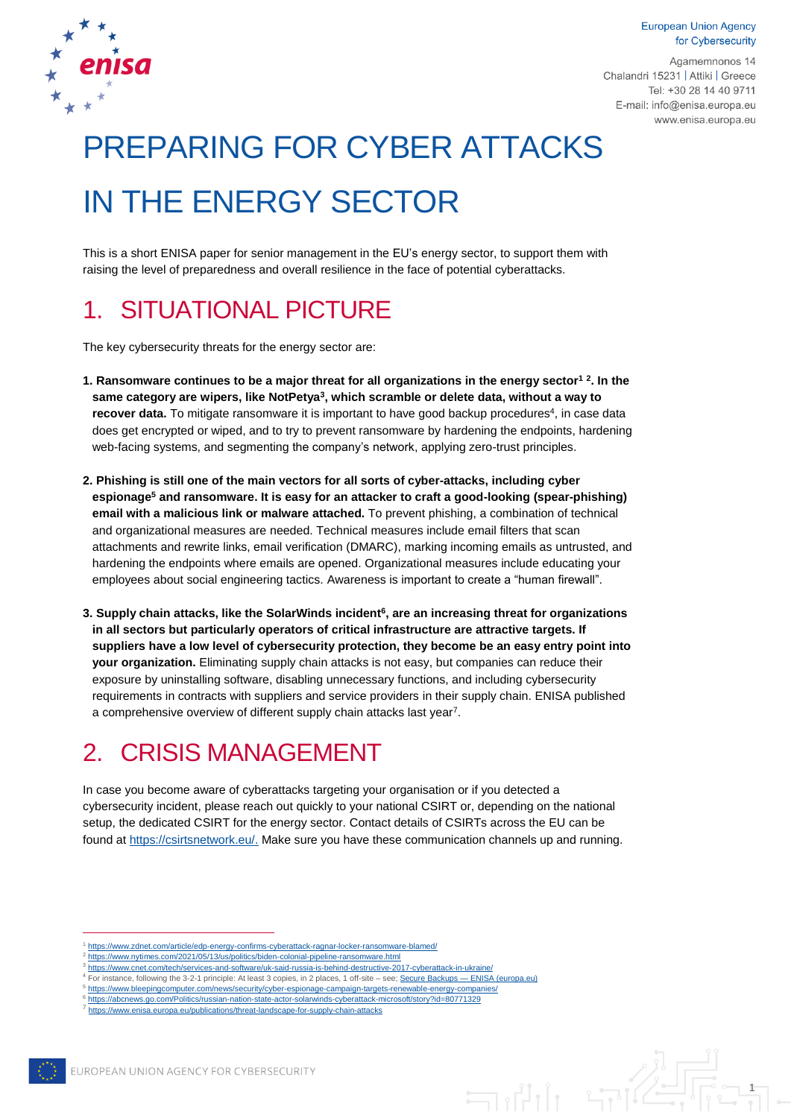**European Union Agency** for Cybersecurity



Agamemnonos 14 Chalandri 15231 | Attiki | Greece Tel: +30 28 14 40 9711 E-mail: info@enisa.europa.eu www.enisa.europa.eu

# PREPARING FOR CYBER ATTACKS IN THE ENERGY SECTOR

This is a short ENISA paper for senior management in the EU's energy sector, to support them with raising the level of preparedness and overall resilience in the face of potential cyberattacks.

### 1. SITUATIONAL PICTURE

The key cybersecurity threats for the energy sector are:

- **1. Ransomware continues to be a major threat for all organizations in the energy sector<sup>1</sup> <sup>2</sup> . In the same category are wipers, like NotPetya<sup>3</sup> , which scramble or delete data, without a way to**  recover data. To mitigate ransomware it is important to have good backup procedures<sup>4</sup>, in case data does get encrypted or wiped, and to try to prevent ransomware by hardening the endpoints, hardening web-facing systems, and segmenting the company's network, applying zero-trust principles.
- **2. Phishing is still one of the main vectors for all sorts of cyber-attacks, including cyber espionage<sup>5</sup> and ransomware. It is easy for an attacker to craft a good-looking (spear-phishing) email with a malicious link or malware attached.** To prevent phishing, a combination of technical and organizational measures are needed. Technical measures include email filters that scan attachments and rewrite links, email verification (DMARC), marking incoming emails as untrusted, and hardening the endpoints where emails are opened. Organizational measures include educating your employees about social engineering tactics. Awareness is important to create a "human firewall".
- **3. Supply chain attacks, like the SolarWinds incident<sup>6</sup> , are an increasing threat for organizations in all sectors but particularly operators of critical infrastructure are attractive targets. If suppliers have a low level of cybersecurity protection, they become be an easy entry point into your organization.** Eliminating supply chain attacks is not easy, but companies can reduce their exposure by uninstalling software, disabling unnecessary functions, and including cybersecurity requirements in contracts with suppliers and service providers in their supply chain. ENISA published a comprehensive overview of different supply chain attacks last year<sup>7</sup>.

### 2. CRISIS MANAGEMENT

In case you become aware of cyberattacks targeting your organisation or if you detected a cybersecurity incident, please reach out quickly to your national CSIRT or, depending on the national setup, the dedicated CSIRT for the energy sector. Contact details of CSIRTs across the EU can be found a[t https://csirtsnetwork.eu/.](https://csirtsnetwork.eu/) Make sure you have these communication channels up and running.

<sup>7</sup> <https://www.enisa.europa.eu/publications/threat-landscape-for-supply-chain-attacks>



 $\overline{a}$ 

<https://www.zdnet.com/article/edp-energy-confirms-cyberattack-ragnar-locker-ransomware-blamed/> <https://www.nytimes.com/2021/05/13/us/politics/biden-colonial-pipeline-ransomware.html>

<sup>3</sup> https://www.cnet.com/tech/services-and-software/uk-said-russia-is-behind-destructive-2017-cyberattack-in-ukraine

<sup>4</sup> For instance, following the 3-2-1 principle: At least 3 copies, in 2 places, 1 off-site – see[; Secure Backups —](https://www.enisa.europa.eu/securesme/cyber-tips/strengthen-technical-measures/secure-backups) ENISA (europa.eu) 5 <https://www.bleepingcomputer.com/news/security/cyber-espionage-campaign-targets-renewable-energy-companies/>

<sup>6</sup> <https://abcnews.go.com/Politics/russian-nation-state-actor-solarwinds-cyberattack-microsoft/story?id=80771329>